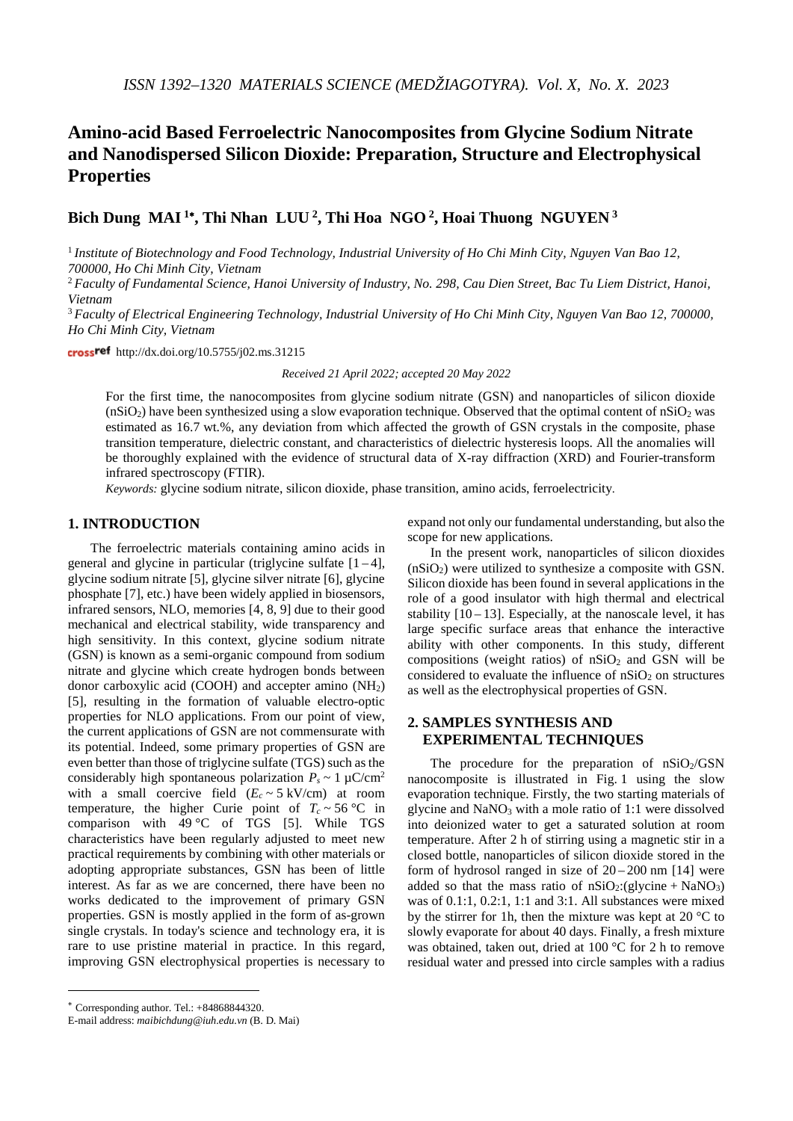# **Amino-acid Based Ferroelectric Nanocomposites from Glycine Sodium Nitrate and Nanodispersed Silicon Dioxide: Preparation, Structure and Electrophysical Properties**

## **Bich Dung MAI <sup>1</sup>**<sup>∗</sup>**, Thi Nhan LUU 2, Thi Hoa NGO 2, Hoai Thuong NGUYEN <sup>3</sup>**

<sup>1</sup> *Institute of Biotechnology and Food Technology, Industrial University of Ho Chi Minh City, Nguyen Van Bao 12, 700000, Ho Chi Minh City, Vietnam*

<sup>2</sup> *Faculty of Fundamental Science, Hanoi University of Industry, No. 298, Cau Dien Street, Bac Tu Liem District, Hanoi, Vietnam*

<sup>3</sup> *Faculty of Electrical Engineering Technology, Industrial University of Ho Chi Minh City, Nguyen Van Bao 12, 700000, Ho Chi Minh City, Vietnam*

crossref http://dx.doi.org/10.5755/j02.ms.31215

*Received 21 April 2022; accepted 20 May 2022*

For the first time, the nanocomposites from glycine sodium nitrate (GSN) and nanoparticles of silicon dioxide  $(nSiO<sub>2</sub>)$  have been synthesized using a slow evaporation technique. Observed that the optimal content of  $nSiO<sub>2</sub>$  was estimated as 16.7 wt.%, any deviation from which affected the growth of GSN crystals in the composite, phase transition temperature, dielectric constant, and characteristics of dielectric hysteresis loops. All the anomalies will be thoroughly explained with the evidence of structural data of X-ray diffraction (XRD) and Fourier-transform infrared spectroscopy (FTIR).

*Keywords:* glycine sodium nitrate, silicon dioxide, phase transition, amino acids, ferroelectricity.

## **1. INTRODUCTION**[∗](#page-0-0)

The ferroelectric materials containing amino acids in general and glycine in particular (triglycine sulfate  $[1-4]$ , glycine sodium nitrate [5], glycine silver nitrate [6], glycine phosphate [7], etc.) have been widely applied in biosensors, infrared sensors, NLO, memories [4, 8, 9] due to their good mechanical and electrical stability, wide transparency and high sensitivity. In this context, glycine sodium nitrate (GSN) is known as a semi-organic compound from sodium nitrate and glycine which create hydrogen bonds between donor carboxylic acid (COOH) and accepter amino  $(NH<sub>2</sub>)$ [5], resulting in the formation of valuable electro-optic properties for NLO applications. From our point of view, the current applications of GSN are not commensurate with its potential. Indeed, some primary properties of GSN are even better than those of triglycine sulfate (TGS) such as the considerably high spontaneous polarization  $P_s \sim 1 \mu C/cm^2$ with a small coercive field  $(E_c \sim 5 \text{ kV/cm})$  at room temperature, the higher Curie point of  $T_c \sim 56 \degree \text{C}$  in comparison with  $49^{\circ}$ C of TGS [5]. While TGS characteristics have been regularly adjusted to meet new practical requirements by combining with other materials or adopting appropriate substances, GSN has been of little interest. As far as we are concerned, there have been no works dedicated to the improvement of primary GSN properties. GSN is mostly applied in the form of as-grown single crystals. In today's science and technology era, it is rare to use pristine material in practice. In this regard, improving GSN electrophysical properties is necessary to

In the present work, nanoparticles of silicon dioxides  $(nSiO<sub>2</sub>)$  were utilized to synthesize a composite with GSN. Silicon dioxide has been found in several applications in the role of a good insulator with high thermal and electrical stability  $[10-13]$ . Especially, at the nanoscale level, it has large specific surface areas that enhance the interactive ability with other components. In this study, different compositions (weight ratios) of  $nSiO<sub>2</sub>$  and GSN will be considered to evaluate the influence of  $nSiO<sub>2</sub>$  on structures as well as the electrophysical properties of GSN.

## **2. SAMPLES SYNTHESIS AND EXPERIMENTAL TECHNIQUES**

The procedure for the preparation of  $nSiO<sub>2</sub>/GSN$ nanocomposite is illustrated in Fig. 1 using the slow evaporation technique. Firstly, the two starting materials of glycine and  $NaNO<sub>3</sub>$  with a mole ratio of 1:1 were dissolved into deionized water to get a saturated solution at room temperature. After 2 h of stirring using a magnetic stir in a closed bottle, nanoparticles of silicon dioxide stored in the form of hydrosol ranged in size of  $20 - 200$  nm [14] were added so that the mass ratio of  $nSiO_2$ :(glycine + NaNO<sub>3</sub>) was of 0.1:1, 0.2:1, 1:1 and 3:1. All substances were mixed by the stirrer for 1h, then the mixture was kept at 20 °C to slowly evaporate for about 40 days. Finally, a fresh mixture was obtained, taken out, dried at 100 °C for 2 h to remove residual water and pressed into circle samples with a radius

<u>.</u>

expand not only our fundamental understanding, but also the scope for new applications.

<span id="page-0-0"></span><sup>∗</sup> Corresponding author. Tel.: +84868844320.

E-mail address: *maibichdung@iuh.edu.vn* (B. D. Mai)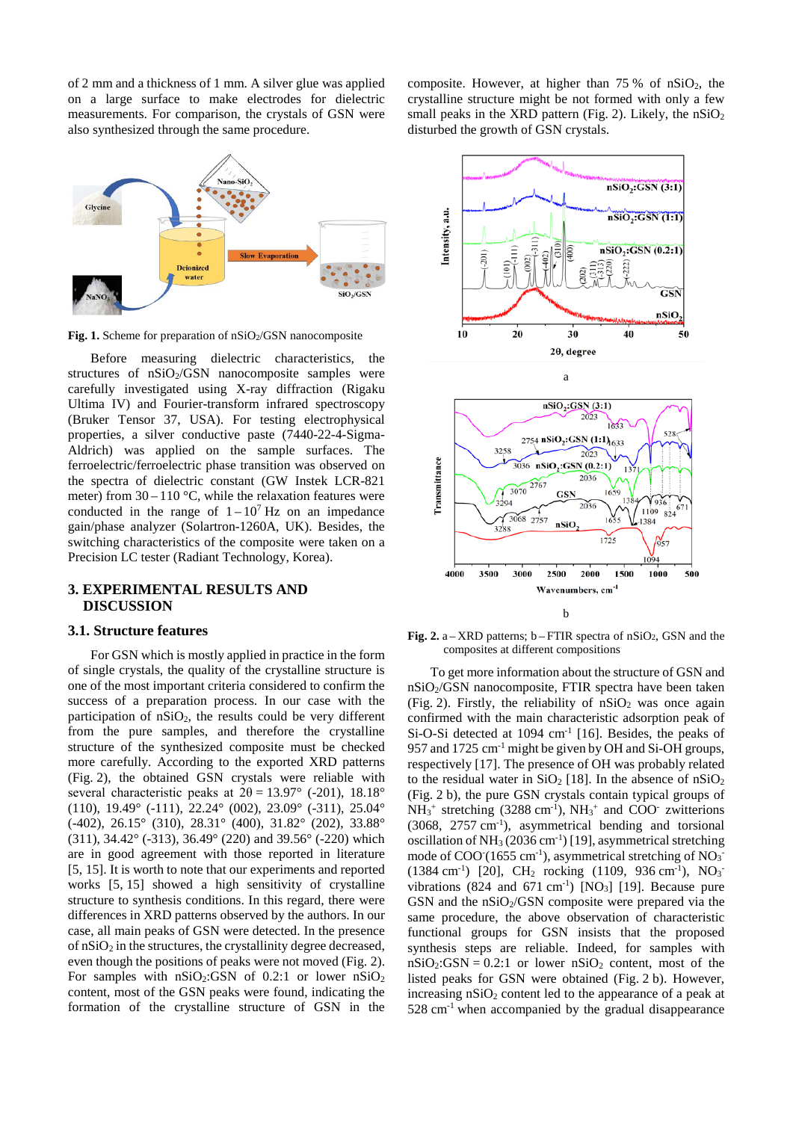of 2 mm and a thickness of 1 mm. A silver glue was applied on a large surface to make electrodes for dielectric measurements. For comparison, the crystals of GSN were also synthesized through the same procedure.



Fig. 1. Scheme for preparation of nSiO2/GSN nanocomposite

Before measuring dielectric characteristics, the structures of  $nSiO<sub>2</sub>/GSN$  nanocomposite samples were carefully investigated using X-ray diffraction (Rigaku Ultima IV) and Fourier-transform infrared spectroscopy (Bruker Tensor 37, USA). For testing electrophysical properties, a silver conductive paste (7440-22-4-Sigma-Aldrich) was applied on the sample surfaces. The ferroelectric/ferroelectric phase transition was observed on the spectra of dielectric constant (GW Instek LCR-821 meter) from  $30 - 110$  °C, while the relaxation features were conducted in the range of  $1 - 10^7$  Hz on an impedance gain/phase analyzer (Solartron-1260A, UK). Besides, the switching characteristics of the composite were taken on a Precision LC tester (Radiant Technology, Korea).

#### **3. EXPERIMENTAL RESULTS AND DISCUSSION**

#### **3.1. Structure features**

For GSN which is mostly applied in practice in the form of single crystals, the quality of the crystalline structure is one of the most important criteria considered to confirm the success of a preparation process. In our case with the participation of  $nSiO<sub>2</sub>$ , the results could be very different from the pure samples, and therefore the crystalline structure of the synthesized composite must be checked more carefully. According to the exported XRD patterns (Fig. 2), the obtained GSN crystals were reliable with several characteristic peaks at  $2\theta = 13.97^\circ$  (-201), 18.18° (110), 19.49° (-111), 22.24° (002), 23.09° (-311), 25.04° (-402), 26.15° (310), 28.31° (400), 31.82° (202), 33.88° (311), 34.42° (-313), 36.49° (220) and 39.56° (-220) which are in good agreement with those reported in literature [5, 15]. It is worth to note that our experiments and reported works [5, 15] showed a high sensitivity of crystalline structure to synthesis conditions. In this regard, there were differences in XRD patterns observed by the authors. In our case, all main peaks of GSN were detected. In the presence of  $nSiO<sub>2</sub>$  in the structures, the crystallinity degree decreased, even though the positions of peaks were not moved (Fig. 2). For samples with  $nSiO<sub>2</sub>:GSN$  of 0.2:1 or lower  $nSiO<sub>2</sub>$ content, most of the GSN peaks were found, indicating the formation of the crystalline structure of GSN in the composite. However, at higher than  $75\%$  of nSiO<sub>2</sub>, the crystalline structure might be not formed with only a few small peaks in the XRD pattern (Fig. 2). Likely, the  $nSiO<sub>2</sub>$ disturbed the growth of GSN crystals.



**Fig. 2.**  $a - XRD$  patterns;  $b - FTIR$  spectra of  $nSiO<sub>2</sub>$ , GSN and the composites at different compositions

To get more information about the structure of GSN and nSiO2/GSN nanocomposite, FTIR spectra have been taken (Fig. 2). Firstly, the reliability of  $nSiO<sub>2</sub>$  was once again confirmed with the main characteristic adsorption peak of Si-O-Si detected at 1094 cm<sup>-1</sup> [16]. Besides, the peaks of 957 and 1725 cm-1 might be given by OH and Si-OH groups, respectively [17]. The presence of OH was probably related to the residual water in  $SiO<sub>2</sub>$  [18]. In the absence of  $nSiO<sub>2</sub>$ (Fig. 2 b), the pure GSN crystals contain typical groups of  $NH_3^+$  stretching (3288 cm<sup>-1</sup>),  $NH_3^+$  and COO<sup>-</sup> zwitterions (3068, 2757 cm-1 ), asymmetrical bending and torsional oscillation of NH<sub>3</sub> (2036 cm<sup>-1</sup>) [19], asymmetrical stretching mode of  $COO(1655 \text{ cm}^3)$ , asymmetrical stretching of NO<sub>3</sub>  $(1384 \text{ cm}^{-1})$  [20], CH<sub>2</sub> rocking  $(1109, 936 \text{ cm}^{-1})$ , NO<sub>3</sub> vibrations (824 and 671 cm<sup>-1</sup>) [NO<sub>3</sub>] [19]. Because pure GSN and the  $nSiO<sub>2</sub>/GSN$  composite were prepared via the same procedure, the above observation of characteristic functional groups for GSN insists that the proposed synthesis steps are reliable. Indeed, for samples with  $nSiO<sub>2</sub>:GSN = 0.2:1$  or lower  $nSiO<sub>2</sub>$  content, most of the listed peaks for GSN were obtained (Fig. 2 b). However, increasing  $nSiO<sub>2</sub>$  content led to the appearance of a peak at  $528 \text{ cm}^{-1}$  when accompanied by the gradual disappearance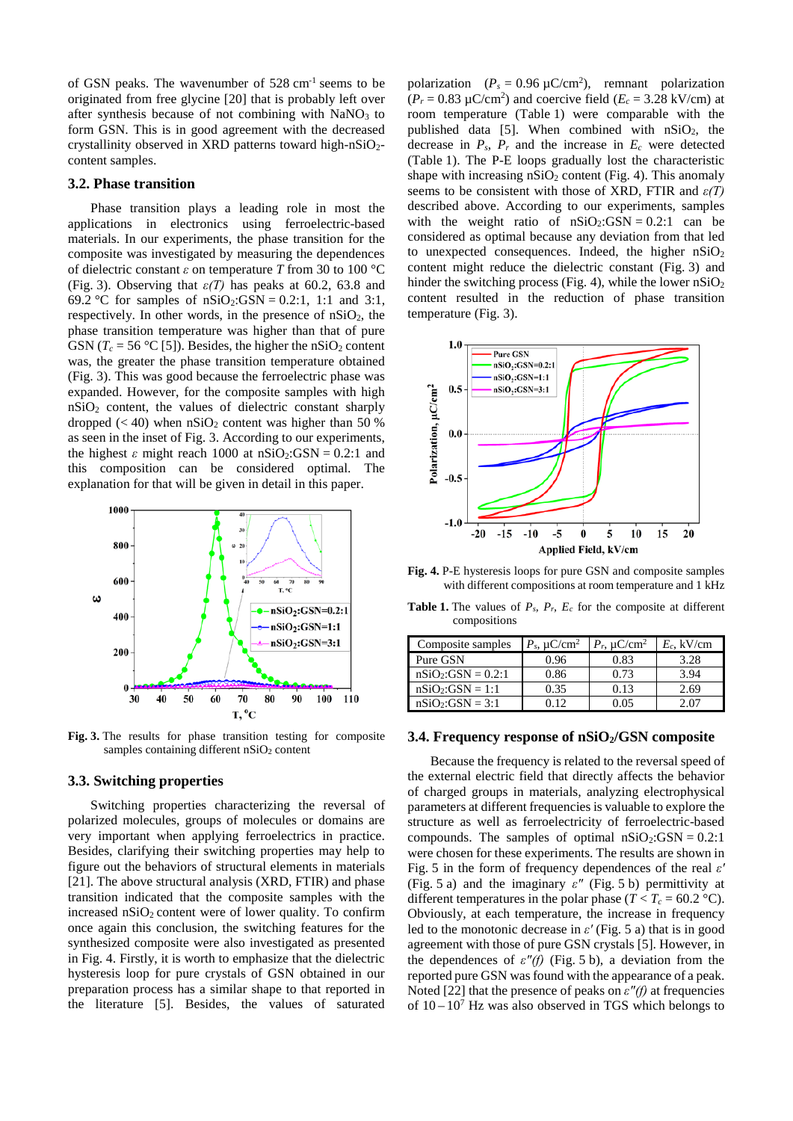of GSN peaks. The wavenumber of 528 cm-1 seems to be originated from free glycine [20] that is probably left over after synthesis because of not combining with  $NaNO<sub>3</sub>$  to form GSN. This is in good agreement with the decreased crystallinity observed in XRD patterns toward high-n $SiO<sub>2</sub>$ content samples.

#### **3.2. Phase transition**

Phase transition plays a leading role in most the applications in electronics using ferroelectric-based materials. In our experiments, the phase transition for the composite was investigated by measuring the dependences of dielectric constant *ε* on temperature *T* from 30 to 100 °C (Fig. 3). Observing that *ε(T)* has peaks at 60.2, 63.8 and 69.2 °C for samples of  $nSiO_2$ :GSN = 0.2:1, 1:1 and 3:1, respectively. In other words, in the presence of  $nSiO<sub>2</sub>$ , the phase transition temperature was higher than that of pure GSN ( $T_c$  = 56 °C [5]). Besides, the higher the nSiO<sub>2</sub> content was, the greater the phase transition temperature obtained (Fig. 3). This was good because the ferroelectric phase was expanded. However, for the composite samples with high nSiO2 content, the values of dielectric constant sharply dropped  $(< 40$ ) when  $nSiO<sub>2</sub>$  content was higher than 50 % as seen in the inset of Fig. 3. According to our experiments, the highest  $\varepsilon$  might reach 1000 at  $nSiO_2$ : GSN = 0.2:1 and this composition can be considered optimal. The explanation for that will be given in detail in this paper.



**Fig. 3.** The results for phase transition testing for composite samples containing different nSiO<sub>2</sub> content

## **3.3. Switching properties**

Switching properties characterizing the reversal of polarized molecules, groups of molecules or domains are very important when applying ferroelectrics in practice. Besides, clarifying their switching properties may help to figure out the behaviors of structural elements in materials [21]. The above structural analysis (XRD, FTIR) and phase transition indicated that the composite samples with the increased  $nSiO<sub>2</sub>$  content were of lower quality. To confirm once again this conclusion, the switching features for the synthesized composite were also investigated as presented in Fig. 4. Firstly, it is worth to emphasize that the dielectric hysteresis loop for pure crystals of GSN obtained in our preparation process has a similar shape to that reported in the literature [5]. Besides, the values of saturated

polarization  $(P_s = 0.96 \, \mu\text{C/cm}^2)$ , remnant polarization  $(P_r = 0.83 \, \mu\text{C/cm}^2)$  and coercive field  $(E_c = 3.28 \, \text{kV/cm})$  at room temperature (Table 1) were comparable with the published data [5]. When combined with  $nSiO<sub>2</sub>$ , the decrease in  $P_s$ ,  $P_r$  and the increase in  $E_c$  were detected (Table 1). The P-E loops gradually lost the characteristic shape with increasing  $nSiO<sub>2</sub>$  content (Fig. 4). This anomaly seems to be consistent with those of XRD, FTIR and *ε(T)*  described above. According to our experiments, samples with the weight ratio of  $nSiO_2:GSN = 0.2:1$  can be considered as optimal because any deviation from that led to unexpected consequences. Indeed, the higher  $nSiO<sub>2</sub>$ content might reduce the dielectric constant (Fig. 3) and hinder the switching process (Fig. 4), while the lower  $nSiO<sub>2</sub>$ content resulted in the reduction of phase transition temperature (Fig. 3).



**Fig. 4.** P-E hysteresis loops for pure GSN and composite samples with different compositions at room temperature and 1 kHz

**Table 1.** The values of *Ps, Pr, Ec* for the composite at different compositions

| Composite samples     | $P_s$ , $\mu$ C/cm <sup>2</sup> | $P_r$ , $\mu$ C/cm <sup>2</sup> | $E_c$ , kV/cm |
|-----------------------|---------------------------------|---------------------------------|---------------|
| Pure GSN              | 0.96                            | 0.83                            | 3.28          |
| $nSiO_2$ :GSN = 0.2:1 | 0.86                            | 0.73                            | 3.94          |
| $nSiO2:GSN = 1:1$     | 0.35                            | 0.13                            | 2.69          |
| $nSiO2:GSN = 3:1$     | N 12                            | ۱ (۱۲                           |               |

#### **3.4.** Frequency response of nSiO<sub>2</sub>/GSN composite

Because the frequency is related to the reversal speed of the external electric field that directly affects the behavior of charged groups in materials, analyzing electrophysical parameters at different frequencies is valuable to explore the structure as well as ferroelectricity of ferroelectric-based compounds. The samples of optimal  $nSiO<sub>2</sub>:GSN = 0.2:1$ were chosen for these experiments. The results are shown in Fig. 5 in the form of frequency dependences of the real *εʹ* (Fig. 5 a) and the imaginary *εʺ* (Fig. 5 b) permittivity at different temperatures in the polar phase ( $T < T_c = 60.2$  °C). Obviously, at each temperature, the increase in frequency led to the monotonic decrease in *εʹ* (Fig. 5 a) that is in good agreement with those of pure GSN crystals [5]. However, in the dependences of  $\varepsilon''(f)$  (Fig. 5 b), a deviation from the reported pure GSN was found with the appearance of a peak. Noted [22] that the presence of peaks on  $\varepsilon''(f)$  at frequencies of  $10 - 10<sup>7</sup>$  Hz was also observed in TGS which belongs to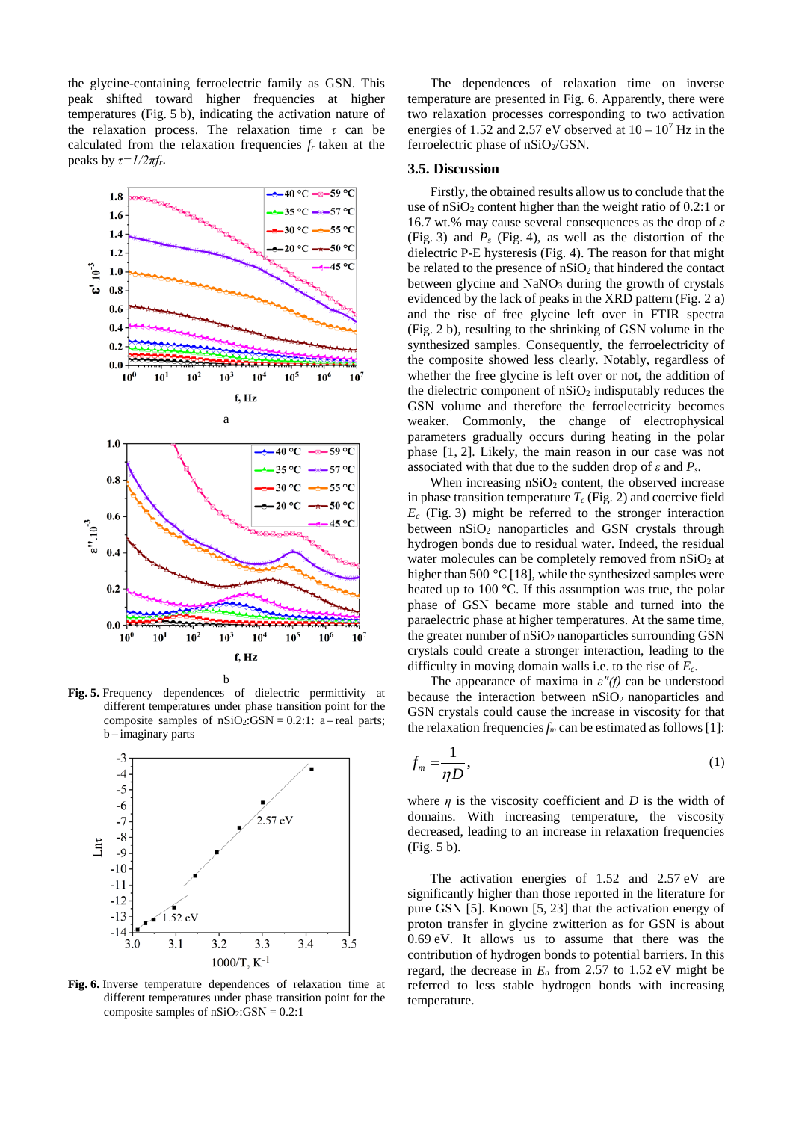the glycine-containing ferroelectric family as GSN. This peak shifted toward higher frequencies at higher temperatures (Fig. 5 b), indicating the activation nature of the relaxation process. The relaxation time *τ* can be calculated from the relaxation frequencies *fr* taken at the peaks by  $\tau = I/2\pi f_r$ .



**Fig. 5.** Frequency dependences of dielectric permittivity at different temperatures under phase transition point for the composite samples of  $nSiO<sub>2</sub>:GSN = 0.2:1: a - real parts;$ b – imaginary parts



**Fig. 6.** Inverse temperature dependences of relaxation time at different temperatures under phase transition point for the composite samples of  $nSiO<sub>2</sub>:GSN = 0.2:1$ 

The dependences of relaxation time on inverse temperature are presented in Fig. 6. Apparently, there were two relaxation processes corresponding to two activation energies of 1.52 and 2.57 eV observed at  $10 - 10^7$  Hz in the ferroelectric phase of  $nSiO<sub>2</sub>/GSN$ .

#### **3.5. Discussion**

Firstly, the obtained results allow us to conclude that the use of  $nSiO<sub>2</sub>$  content higher than the weight ratio of 0.2:1 or 16.7 wt.% may cause several consequences as the drop of *ε* (Fig. 3) and *Ps* (Fig. 4), as well as the distortion of the dielectric P-E hysteresis (Fig. 4). The reason for that might be related to the presence of  $nSiO<sub>2</sub>$  that hindered the contact between glycine and  $NaNO<sub>3</sub>$  during the growth of crystals evidenced by the lack of peaks in the XRD pattern (Fig. 2 a) and the rise of free glycine left over in FTIR spectra (Fig. 2 b), resulting to the shrinking of GSN volume in the synthesized samples. Consequently, the ferroelectricity of the composite showed less clearly. Notably, regardless of whether the free glycine is left over or not, the addition of the dielectric component of  $nSiO<sub>2</sub>$  indisputably reduces the GSN volume and therefore the ferroelectricity becomes weaker. Commonly, the change of electrophysical parameters gradually occurs during heating in the polar phase [1, 2]. Likely, the main reason in our case was not associated with that due to the sudden drop of *ε* and *Ps*.

When increasing  $nSiO<sub>2</sub>$  content, the observed increase in phase transition temperature  $T_c$  (Fig. 2) and coercive field *Ec* (Fig. 3) might be referred to the stronger interaction between  $nSiO<sub>2</sub>$  nanoparticles and GSN crystals through hydrogen bonds due to residual water. Indeed, the residual water molecules can be completely removed from nSiO<sub>2</sub> at higher than 500 °C [18], while the synthesized samples were heated up to 100 °C. If this assumption was true, the polar phase of GSN became more stable and turned into the paraelectric phase at higher temperatures. At the same time, the greater number of  $nSiO<sub>2</sub>$  nanoparticles surrounding GSN crystals could create a stronger interaction, leading to the difficulty in moving domain walls i.e. to the rise of *Ec*.

The appearance of maxima in  $\varepsilon''(f)$  can be understood because the interaction between  $nSiO<sub>2</sub>$  nanoparticles and GSN crystals could cause the increase in viscosity for that the relaxation frequencies  $f_m$  can be estimated as follows [1]:

$$
f_m = \frac{1}{\eta D},\tag{1}
$$

where  $\eta$  is the viscosity coefficient and *D* is the width of domains. With increasing temperature, the viscosity decreased, leading to an increase in relaxation frequencies (Fig. 5 b).

The activation energies of 1.52 and 2.57 eV are significantly higher than those reported in the literature for pure GSN [5]. Known [5, 23] that the activation energy of proton transfer in glycine zwitterion as for GSN is about 0.69 eV. It allows us to assume that there was the contribution of hydrogen bonds to potential barriers. In this regard, the decrease in  $E_a$  from 2.57 to 1.52 eV might be referred to less stable hydrogen bonds with increasing temperature.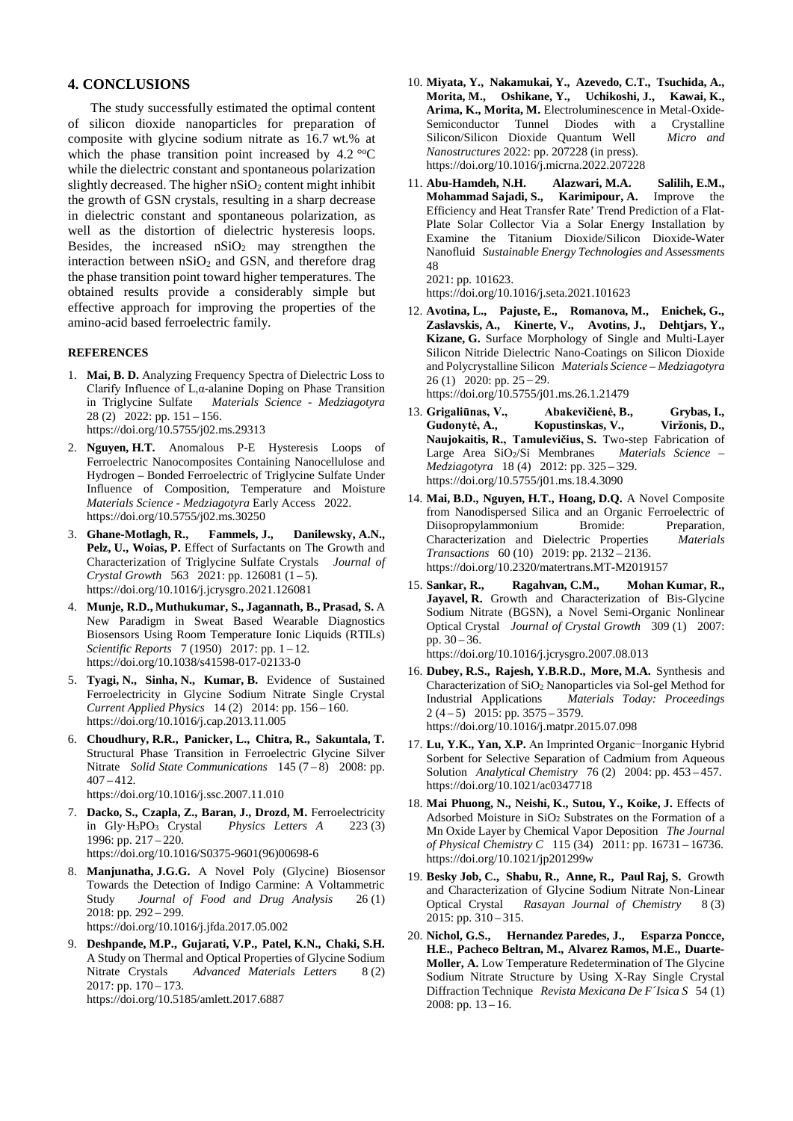#### **4. CONCLUSIONS**

The study successfully estimated the optimal content of silicon dioxide nanoparticles for preparation of composite with glycine sodium nitrate as 16.7 wt.% at which the phase transition point increased by  $4.2 \degree$ °C while the dielectric constant and spontaneous polarization slightly decreased. The higher  $nSiO<sub>2</sub>$  content might inhibit the growth of GSN crystals, resulting in a sharp decrease in dielectric constant and spontaneous polarization, as well as the distortion of dielectric hysteresis loops. Besides, the increased  $nSiO<sub>2</sub>$  may strengthen the interaction between  $nSiO<sub>2</sub>$  and GSN, and therefore drag the phase transition point toward higher temperatures. The obtained results provide a considerably simple but effective approach for improving the properties of the amino-acid based ferroelectric family.

#### **REFERENCES**

- 1. **Mai, B. D.** Analyzing Frequency Spectra of Dielectric Loss to Clarify Influence of L,α-alanine Doping on Phase Transition in Triglycine Sulfate *Materials Science - Medziagotyra*  $28$  (2)  $2022$ : pp. 151 – 156. <https://doi.org/10.5755/j02.ms.29313>
- 2. **Nguyen, H.T.** Anomalous P-E Hysteresis Loops of Ferroelectric Nanocomposites Containing Nanocellulose and Hydrogen – Bonded Ferroelectric of Triglycine Sulfate Under Influence of Composition, Temperature and Moisture *Materials Science - Medziagotyra* Early Access 2022. <https://doi.org/10.5755/j02.ms.30250>
- 3. **Ghane-Motlagh, R., Fammels, J., Danilewsky, A.N., Pelz, U., Woias, P.** Effect of Surfactants on The Growth and Characterization of Triglycine Sulfate Crystals *Journal of Crystal Growth* 563 2021: pp. 126081  $(1-5)$ . <https://doi.org/10.1016/j.jcrysgro.2021.126081>
- 4. **Munje, R.D., Muthukumar, S., Jagannath, B., Prasad, S.** A New Paradigm in Sweat Based Wearable Diagnostics Biosensors Using Room Temperature Ionic Liquids (RTILs) *Scientific Reports* 7 (1950) 2017: pp. 1 – 12. <https://doi.org/10.1038/s41598-017-02133-0>
- 5. **Tyagi, N., Sinha, N., Kumar, B.** Evidence of Sustained Ferroelectricity in Glycine Sodium Nitrate Single Crystal *Current Applied Physics* 14 (2) 2014: pp. 156 – 160. <https://doi.org/10.1016/j.cap.2013.11.005>
- 6. **Choudhury, R.R., Panicker, L., Chitra, R., Sakuntala, T.** Structural Phase Transition in Ferroelectric Glycine Silver Nitrate *Solid State Communications* 145 (7 – 8) 2008: pp.  $407 - 412.$

<https://doi.org/10.1016/j.ssc.2007.11.010>

- 7. **Dacko, S., Czapla, Z., Baran, J., Drozd, M.** Ferroelectricity in Gly·H3PO3 Crystal *Physics Letters A* 223 (3) 1996: pp. 217 – 220. [https://doi.org/10.1016/S0375-9601\(96\)00698-6](https://doi.org/10.1016/S0375-9601(96)00698-6)
- 8. **Manjunatha, J.G.G.** A Novel Poly (Glycine) Biosensor Towards the Detection of Indigo Carmine: A Voltammetric Study *Journal of Food and Drug Analysis* 26 (1) 2018: pp. 292 – 299. <https://doi.org/10.1016/j.jfda.2017.05.002>
- 9. **Deshpande, M.P., Gujarati, V.P., Patel, K.N., Chaki, S.H.** A Study on Thermal and Optical Properties of Glycine Sodium Nitrate Crystals *Advanced Materials Letters* 8 (2) 2017: pp. 170 – 173. https://doi.org/10.5185/amlett.2017.6887
- 10. **Miyata, Y., Nakamukai, Y., Azevedo, C.T., Tsuchida, A., Morita, M., Oshikane, Y., Uchikoshi, J., Kawai, K., Arima, K., Morita, M.** Electroluminescence in Metal-Oxide-Semiconductor Tunnel Diodes with a Crystalline<br>Silicon/Silicon Dioxide Quantum Well Micro and Silicon/Silicon Dioxide Quantum Well *Nanostructures* 2022: pp. 207228 (in press). <https://doi.org/10.1016/j.micrna.2022.207228>
- 11. **Abu-Hamdeh, N.H. Alazwari, M.A. Salilih, E.M., Mohammad Sajadi, S., Karimipour, A.** Improve the Efficiency and Heat Transfer Rate' Trend Prediction of a Flat-Plate Solar Collector Via a Solar Energy Installation by Examine the Titanium Dioxide/Silicon Dioxide-Water Nanofluid *Sustainable Energy Technologies and Assessments* 48 2021: pp. 101623.

<https://doi.org/10.1016/j.seta.2021.101623>

- 12. **Avotina, L., Pajuste, E., Romanova, M., Enichek, G., Zaslavskis, A., Kinerte, V., Avotins, J., Dehtjars, Y., Kizane, G.** Surface Morphology of Single and Multi-Layer Silicon Nitride Dielectric Nano-Coatings on Silicon Dioxide and Polycrystalline Silicon *Materials Science – Medziagotyra*   $26 (1) 2020$ : pp.  $25 - 29$ . <https://doi.org/10.5755/j01.ms.26.1.21479>
- 13. **Grigaliūnas, V., Abakevičienė, B., Grybas, I., Gudonytė, A., Kopustinskas, V., Viržonis, D., Naujokaitis, R., Tamulevičius, S.** Two-step Fabrication of Large Area SiO2/Si Membranes *Materials Science – Medziagotyra* 18 (4) 2012: pp. 325 – 329. <https://doi.org/10.5755/j01.ms.18.4.3090>
- 14. **Mai, B.D., Nguyen, H.T., Hoang, D.Q.** A Novel Composite from Nanodispersed Silica and an Organic Ferroelectric of Diisopropylammonium Bromide: Preparation, Characterization and Dielectric Properties *Materials Transactions* 60 (10) 2019: pp. 2132 – 2136. <https://doi.org/10.2320/matertrans.MT-M2019157>
- 15. **Sankar, R., Ragahvan, C.M., Mohan Kumar, R., Jayavel, R.** Growth and Characterization of Bis-Glycine Sodium Nitrate (BGSN), a Novel Semi-Organic Nonlinear Optical Crystal *Journal of Crystal Growth* 309 (1) 2007: pp. 30 – 36. <https://doi.org/10.1016/j.jcrysgro.2007.08.013>
- 16. **Dubey, R.S., Rajesh, Y.B.R.D., More, M.A.** Synthesis and Characterization of SiO2 Nanoparticles via Sol-gel Method for Industrial Applications *Materials Today: Proceedings*  $2(4-5)$  2015: pp. 3575 – 3579. <https://doi.org/10.1016/j.matpr.2015.07.098>
- 17. **Lu, Y.K., Yan, X.P.** An Imprinted Organic−Inorganic Hybrid Sorbent for Selective Separation of Cadmium from Aqueous Solution *Analytical Chemistry* 76 (2) 2004: pp. 453 – 457. <https://doi.org/10.1021/ac0347718>
- 18. **Mai Phuong, N., Neishi, K., Sutou, Y., Koike, J.** Effects of Adsorbed Moisture in SiO2 Substrates on the Formation of a Mn Oxide Layer by Chemical Vapor Deposition *The Journal of Physical Chemistry C* 115 (34) 2011: pp. 16731 – 16736. https://doi.org/10.1021/jp201299w
- 19. **Besky Job, C., Shabu, R., Anne, R., Paul Raj, S.** Growth and Characterization of Glycine Sodium Nitrate Non-Linear Optical Crystal *Rasayan Journal of Chemistry* 8 (3) 2015: pp. 310 – 315.
- 20. **Nichol, G.S., Hernandez Paredes, J., Esparza Poncce, H.E., Pacheco Beltran, M., Alvarez Ramos, M.E., Duarte-Moller, A.** Low Temperature Redetermination of The Glycine Sodium Nitrate Structure by Using X-Ray Single Crystal Diffraction Technique *Revista Mexicana De F´Isica S* 54 (1) 2008: pp.  $13 - 16$ .